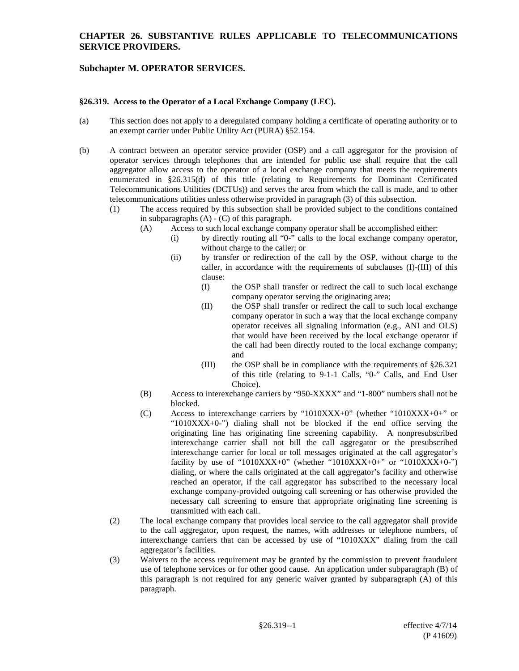## **CHAPTER 26. SUBSTANTIVE RULES APPLICABLE TO TELECOMMUNICATIONS SERVICE PROVIDERS.**

## **Subchapter M. OPERATOR SERVICES.**

#### **§26.319. Access to the Operator of a Local Exchange Company (LEC).**

- (a) This section does not apply to a deregulated company holding a certificate of operating authority or to an exempt carrier under Public Utility Act (PURA) §52.154.
- (b) A contract between an operator service provider (OSP) and a call aggregator for the provision of operator services through telephones that are intended for public use shall require that the call aggregator allow access to the operator of a local exchange company that meets the requirements enumerated in §26.315(d) of this title (relating to Requirements for Dominant Certificated Telecommunications Utilities (DCTUs)) and serves the area from which the call is made, and to other telecommunications utilities unless otherwise provided in paragraph (3) of this subsection.
	- (1) The access required by this subsection shall be provided subject to the conditions contained in subparagraphs (A) - (C) of this paragraph.
		- (A) Access to such local exchange company operator shall be accomplished either:
			- (i) by directly routing all "0-" calls to the local exchange company operator, without charge to the caller; or
			- (ii) by transfer or redirection of the call by the OSP, without charge to the caller, in accordance with the requirements of subclauses (I)-(III) of this clause:
				- (I) the OSP shall transfer or redirect the call to such local exchange company operator serving the originating area;
				- (II) the OSP shall transfer or redirect the call to such local exchange company operator in such a way that the local exchange company operator receives all signaling information (e.g., ANI and OLS) that would have been received by the local exchange operator if the call had been directly routed to the local exchange company; and
				- (III) the OSP shall be in compliance with the requirements of §26.321 of this title (relating to 9-1-1 Calls, "0-" Calls, and End User Choice).
		- (B) Access to interexchange carriers by "950-XXXX" and "1-800" numbers shall not be blocked.
		- (C) Access to interexchange carriers by "1010XXX+0" (whether "1010XXX+0+" or " $1010XXX+0$ -") dialing shall not be blocked if the end office serving the originating line has originating line screening capability. A nonpresubscribed interexchange carrier shall not bill the call aggregator or the presubscribed interexchange carrier for local or toll messages originated at the call aggregator's facility by use of "1010XXX+0" (whether "1010XXX+0+" or "1010XXX+0-") dialing, or where the calls originated at the call aggregator's facility and otherwise reached an operator, if the call aggregator has subscribed to the necessary local exchange company-provided outgoing call screening or has otherwise provided the necessary call screening to ensure that appropriate originating line screening is transmitted with each call.
	- (2) The local exchange company that provides local service to the call aggregator shall provide to the call aggregator, upon request, the names, with addresses or telephone numbers, of interexchange carriers that can be accessed by use of "1010XXX" dialing from the call aggregator's facilities.
	- (3) Waivers to the access requirement may be granted by the commission to prevent fraudulent use of telephone services or for other good cause. An application under subparagraph (B) of this paragraph is not required for any generic waiver granted by subparagraph (A) of this paragraph.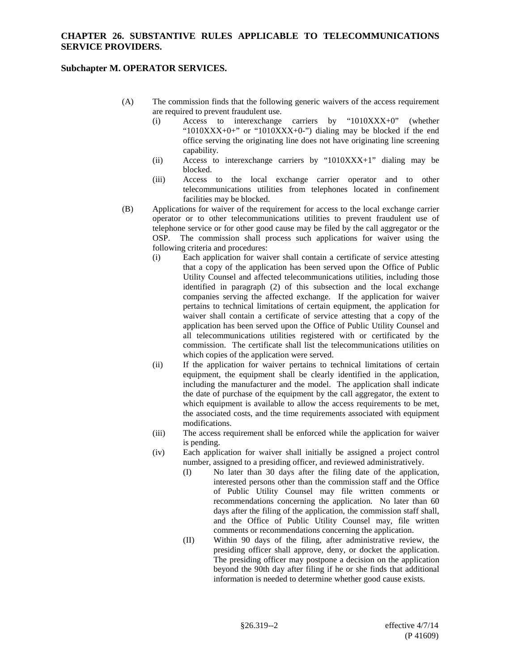## **CHAPTER 26. SUBSTANTIVE RULES APPLICABLE TO TELECOMMUNICATIONS SERVICE PROVIDERS.**

## **Subchapter M. OPERATOR SERVICES.**

- (A) The commission finds that the following generic waivers of the access requirement are required to prevent fraudulent use.
	- (i) Access to interexchange carriers by "1010XXX+0" (whether " $1010XXX+0+$ " or " $1010XXX+0-$ ") dialing may be blocked if the end office serving the originating line does not have originating line screening capability.
	- (ii) Access to interexchange carriers by " $1010XXX+1$ " dialing may be blocked.
	- (iii) Access to the local exchange carrier operator and to other telecommunications utilities from telephones located in confinement facilities may be blocked.
- (B) Applications for waiver of the requirement for access to the local exchange carrier operator or to other telecommunications utilities to prevent fraudulent use of telephone service or for other good cause may be filed by the call aggregator or the OSP. The commission shall process such applications for waiver using the following criteria and procedures:
	- (i) Each application for waiver shall contain a certificate of service attesting that a copy of the application has been served upon the Office of Public Utility Counsel and affected telecommunications utilities, including those identified in paragraph (2) of this subsection and the local exchange companies serving the affected exchange. If the application for waiver pertains to technical limitations of certain equipment, the application for waiver shall contain a certificate of service attesting that a copy of the application has been served upon the Office of Public Utility Counsel and all telecommunications utilities registered with or certificated by the commission. The certificate shall list the telecommunications utilities on which copies of the application were served.
	- (ii) If the application for waiver pertains to technical limitations of certain equipment, the equipment shall be clearly identified in the application, including the manufacturer and the model. The application shall indicate the date of purchase of the equipment by the call aggregator, the extent to which equipment is available to allow the access requirements to be met, the associated costs, and the time requirements associated with equipment modifications.
	- (iii) The access requirement shall be enforced while the application for waiver is pending.
	- (iv) Each application for waiver shall initially be assigned a project control number, assigned to a presiding officer, and reviewed administratively.
		- (I) No later than 30 days after the filing date of the application, interested persons other than the commission staff and the Office of Public Utility Counsel may file written comments or recommendations concerning the application. No later than 60 days after the filing of the application, the commission staff shall, and the Office of Public Utility Counsel may, file written comments or recommendations concerning the application.
		- (II) Within 90 days of the filing, after administrative review, the presiding officer shall approve, deny, or docket the application. The presiding officer may postpone a decision on the application beyond the 90th day after filing if he or she finds that additional information is needed to determine whether good cause exists.